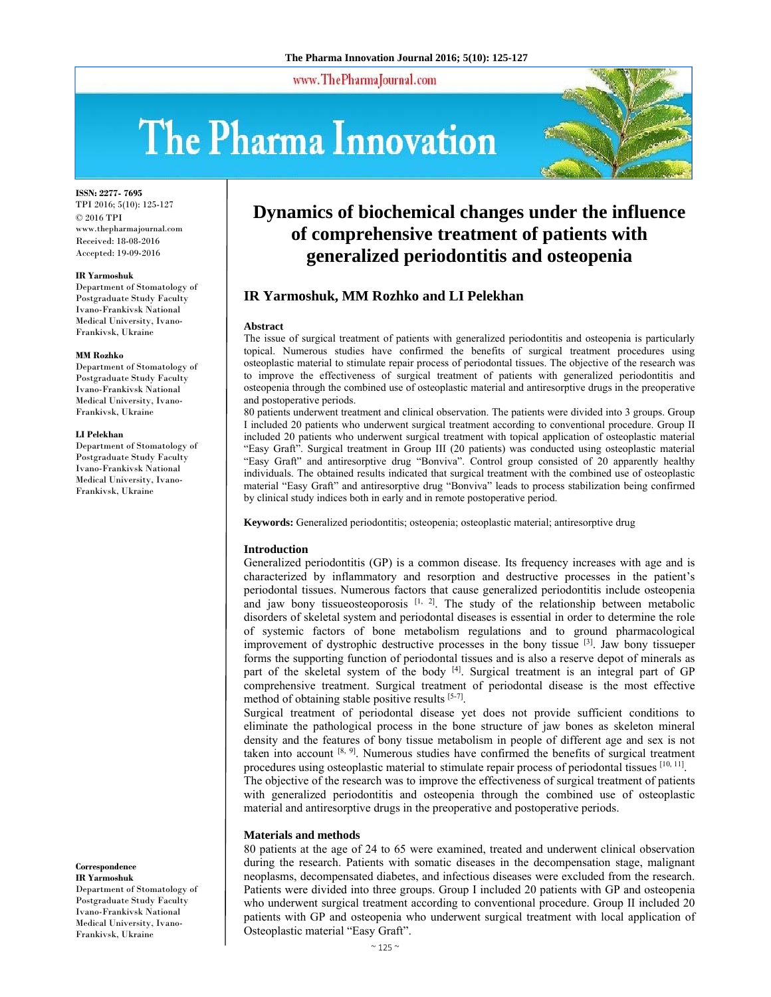www.ThePharmaJournal.com

# The Pharma Innovation



**ISSN: 2277- 7695**

TPI 2016; 5(10): 125-127 © 2016 TPI www.thepharmajournal.com Received: 18-08-2016 Accepted: 19-09-2016

#### **IR Yarmoshuk**

Department of Stomatology of Postgraduate Study Faculty Ivano-Frankivsk National Medical University, Ivano-Frankivsk, Ukraine

#### **MM Rozhko**

Department of Stomatology of Postgraduate Study Faculty Ivano-Frankivsk National Medical University, Ivano-Frankivsk, Ukraine

#### **LI Pelekhan**

Department of Stomatology of Postgraduate Study Faculty Ivano-Frankivsk National Medical University, Ivano-Frankivsk, Ukraine

**Correspondence IR Yarmoshuk** 

Department of Stomatology of Postgraduate Study Faculty Ivano-Frankivsk National Medical University, Ivano-Frankivsk, Ukraine

# **Dynamics of biochemical changes under the influence of comprehensive treatment of patients with generalized periodontitis and osteopenia**

# **IR Yarmoshuk, MM Rozhko and LI Pelekhan**

#### **Abstract**

The issue of surgical treatment of patients with generalized periodontitis and osteopenia is particularly topical. Numerous studies have confirmed the benefits of surgical treatment procedures using osteoplastic material to stimulate repair process of periodontal tissues. The objective of the research was to improve the effectiveness of surgical treatment of patients with generalized periodontitis and osteopenia through the combined use of osteoplastic material and antiresorptive drugs in the preoperative and postoperative periods.

80 patients underwent treatment and clinical observation. The patients were divided into 3 groups. Group I included 20 patients who underwent surgical treatment according to conventional procedure. Group II included 20 patients who underwent surgical treatment with topical application of osteoplastic material "Easy Graft". Surgical treatment in Group III (20 patients) was conducted using osteoplastic material "Easy Graft" and antiresorptive drug "Bonviva". Control group consisted of 20 apparently healthy individuals. The obtained results indicated that surgical treatment with the combined use of osteoplastic material "Easy Graft" and antiresorptive drug "Bonviva" leads to process stabilization being confirmed by clinical study indices both in early and in remote postoperative period.

**Keywords:** Generalized periodontitis; osteopenia; osteoplastic material; antiresorptive drug

#### **Introduction**

Generalized periodontitis (GP) is a common disease. Its frequency increases with age and is characterized by inflammatory and resorption and destructive processes in the patient's periodontal tissues. Numerous factors that cause generalized periodontitis include osteopenia and jaw bony tissueosteoporosis  $[1, 2]$ . The study of the relationship between metabolic disorders of skeletal system and periodontal diseases is essential in order to determine the role of systemic factors of bone metabolism regulations and to ground pharmacological improvement of dystrophic destructive processes in the bony tissue  $[3]$ . Jaw bony tissueper forms the supporting function of periodontal tissues and is also a reserve depot of minerals as part of the skeletal system of the body <sup>[4]</sup>. Surgical treatment is an integral part of GP comprehensive treatment. Surgical treatment of periodontal disease is the most effective method of obtaining stable positive results [5-7].

Surgical treatment of periodontal disease yet does not provide sufficient conditions to eliminate the pathological process in the bone structure of jaw bones as skeleton mineral density and the features of bony tissue metabolism in people of different age and sex is not taken into account  $[8, 9]$ . Numerous studies have confirmed the benefits of surgical treatment procedures using osteoplastic material to stimulate repair process of periodontal tissues [10, 11].

The objective of the research was to improve the effectiveness of surgical treatment of patients with generalized periodontitis and osteopenia through the combined use of osteoplastic material and antiresorptive drugs in the preoperative and postoperative periods.

#### **Materials and methods**

80 patients at the age of 24 to 65 were examined, treated and underwent clinical observation during the research. Patients with somatic diseases in the decompensation stage, malignant neoplasms, decompensated diabetes, and infectious diseases were excluded from the research. Patients were divided into three groups. Group I included 20 patients with GP and osteopenia who underwent surgical treatment according to conventional procedure. Group II included 20 patients with GP and osteopenia who underwent surgical treatment with local application of Osteoplastic material "Easy Graft".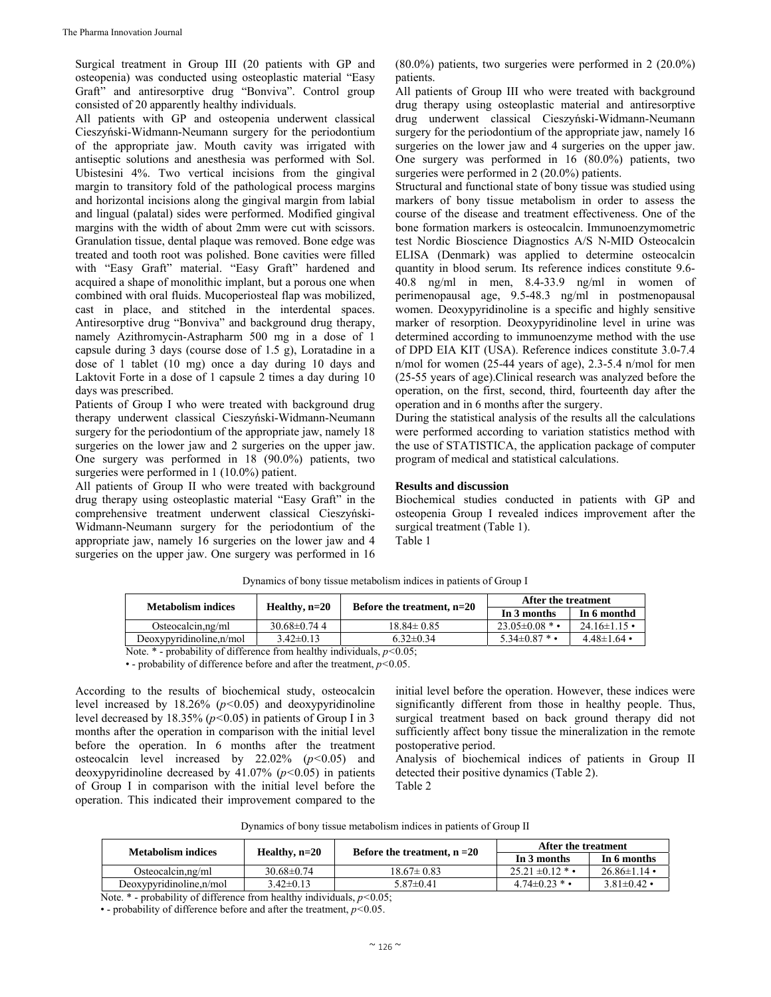Surgical treatment in Group III (20 patients with GP and osteopenia) was conducted using osteoplastic material "Easy Graft" and antiresorptive drug "Bonviva". Control group consisted of 20 apparently healthy individuals.

All patients with GP and osteopenia underwent classical Cieszyński-Widmann-Neumann surgery for the periodontium of the appropriate jaw. Mouth cavity was irrigated with antiseptic solutions and anesthesia was performed with Sol. Ubistesini 4%. Two vertical incisions from the gingival margin to transitory fold of the pathological process margins and horizontal incisions along the gingival margin from labial and lingual (palatal) sides were performed. Modified gingival margins with the width of about 2mm were cut with scissors. Granulation tissue, dental plaque was removed. Bone edge was treated and tooth root was polished. Bone cavities were filled with "Easy Graft" material. "Easy Graft" hardened and acquired a shape of monolithic implant, but a porous one when combined with oral fluids. Mucoperiosteal flap was mobilized, cast in place, and stitched in the interdental spaces. Antiresorptive drug "Bonviva" and background drug therapy, namely Azithromycin-Astrapharm 500 mg in a dose of 1 capsule during 3 days (course dose of 1.5 g), Loratadine in a dose of 1 tablet (10 mg) once a day during 10 days and Laktovit Forte in a dose of 1 capsule 2 times a day during 10 days was prescribed.

Patients of Group I who were treated with background drug therapy underwent classical Cieszyński-Widmann-Neumann surgery for the periodontium of the appropriate jaw, namely 18 surgeries on the lower jaw and 2 surgeries on the upper jaw. One surgery was performed in 18 (90.0%) patients, two surgeries were performed in 1 (10.0%) patient.

All patients of Group II who were treated with background drug therapy using osteoplastic material "Easy Graft" in the comprehensive treatment underwent classical Cieszyński-Widmann-Neumann surgery for the periodontium of the appropriate jaw, namely 16 surgeries on the lower jaw and 4 surgeries on the upper jaw. One surgery was performed in 16

(80.0%) patients, two surgeries were performed in 2 (20.0%) patients.

All patients of Group III who were treated with background drug therapy using osteoplastic material and antiresorptive drug underwent classical Cieszyński-Widmann-Neumann surgery for the periodontium of the appropriate jaw, namely 16 surgeries on the lower jaw and 4 surgeries on the upper jaw. One surgery was performed in 16 (80.0%) patients, two surgeries were performed in 2 (20.0%) patients.

Structural and functional state of bony tissue was studied using markers of bony tissue metabolism in order to assess the course of the disease and treatment effectiveness. One of the bone formation markers is osteocalcin. Immunoenzymometric test Nordic Bioscience Diagnostics A/S N-MID Osteocalcin ELISA (Denmark) was applied to determine osteocalcin quantity in blood serum. Its reference indices constitute 9.6- 40.8 ng/ml in men, 8.4-33.9 ng/ml in women of perimenopausal age, 9.5-48.3 ng/ml in postmenopausal women. Deoxypyridinoline is a specific and highly sensitive marker of resorption. Deoxypyridinoline level in urine was determined according to immunoenzyme method with the use of DPD EIA KIT (USA). Reference indices constitute 3.0-7.4 n/mol for women (25-44 years of age), 2.3-5.4 n/mol for men (25-55 years of age).Clinical research was analyzed before the operation, on the first, second, third, fourteenth day after the operation and in 6 months after the surgery.

During the statistical analysis of the results all the calculations were performed according to variation statistics method with the use of STATISTICA, the application package of computer program of medical and statistical calculations.

### **Results and discussion**

Biochemical studies conducted in patients with GP and osteopenia Group I revealed indices improvement after the surgical treatment (Table 1).

Table 1

| Healthy, $n=20$   |                              |                            |                    |  |
|-------------------|------------------------------|----------------------------|--------------------|--|
|                   | Before the treatment, $n=20$ | In 6 monthd<br>In 3 months |                    |  |
| $30.68 \pm 0.744$ | $18.84 \pm 0.85$             | $23.05 \pm 0.08$ * •       | $24.16 \pm 1.15$ • |  |
| $3.42\pm0.13$     | $6.32 \pm 0.34$              | $5.34 \pm 0.87$ * •        | $4.48 \pm 1.64$ •  |  |
|                   |                              | $\sim$ $\sim$ $\sim$       |                    |  |

Dynamics of bony tissue metabolism indices in patients of Group I

Note. \* - probability of difference from healthy individuals, *р<*0.05;

• - probability of difference before and after the treatment, *р<*0.05.

According to the results of biochemical study, osteocalcin level increased by 18.26% (*р<*0.05) and deoxypyridinoline level decreased by 18.35% (*р<*0.05) in patients of Group I in 3 months after the operation in comparison with the initial level before the operation. In 6 months after the treatment osteocalcin level increased by 22.02% (*р<*0.05) and deoxypyridinoline decreased by 41.07% (*р<*0.05) in patients of Group I in comparison with the initial level before the operation. This indicated their improvement compared to the initial level before the operation. However, these indices were significantly different from those in healthy people. Thus, surgical treatment based on back ground therapy did not sufficiently affect bony tissue the mineralization in the remote postoperative period.

Analysis of biochemical indices of patients in Group II detected their positive dynamics (Table 2). Table 2

|  |  |  | Dynamics of bony tissue metabolism indices in patients of Group II |  |  |  |  |  |  |
|--|--|--|--------------------------------------------------------------------|--|--|--|--|--|--|
|--|--|--|--------------------------------------------------------------------|--|--|--|--|--|--|

| Metabolism indices       |                  | Before the treatment, $n = 20$ | After the treatment  |                   |
|--------------------------|------------------|--------------------------------|----------------------|-------------------|
|                          | Healthy, n=20    |                                | In 3 months          | In 6 months       |
| Osteocalcin, ng/ml       | $30.68 \pm 0.74$ | $18.67 \pm 0.83$               | $25.21 \pm 0.12$ * • | $26.86\pm1.14$ •  |
| Deoxypyridinoline, n/mol | $3.42\pm0.13$    | $5.87 \pm 0.41$                | $4.74 \pm 0.23$ * •  | $3.81 \pm 0.42$ • |

Note. \* - probability of difference from healthy individuals, *р<*0.05;

• - probability of difference before and after the treatment, *р<*0.05.